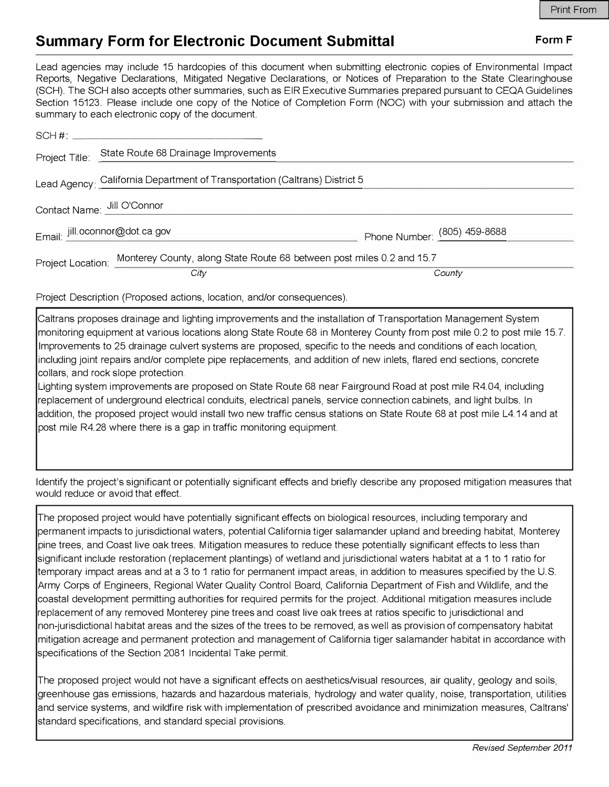## **Summary Form for Electronic Document Submittal <b>Form F** Form F

Lead agencies may include 15 hardcopies of this document when submitting electronic copies of Environmental Impact Reports, Negative Declarations, Mitigated Negative Declarations, or Notices of Preparation to the State Clearinghouse (SCH). The SCH also accepts other summaries, such as EIR Executive Summaries prepared pursuant to CEQA Guidelines Section 15123. Please include one copy of the Notice of Completion Form (NOC) with your submission and attach the summary to each electronic copy of the document.

|                                                                            | $SCH \#$                                                                                        |                              |
|----------------------------------------------------------------------------|-------------------------------------------------------------------------------------------------|------------------------------|
|                                                                            | Project Title: State Route 68 Drainage Improvements                                             |                              |
| Lead Agency: California Department of Transportation (Caltrans) District 5 |                                                                                                 |                              |
| Contact Name: Jill O'Connor                                                |                                                                                                 |                              |
| Email: jill.oconnor@dot.ca.gov                                             |                                                                                                 | Phone Number: (805) 459-8688 |
|                                                                            | Project Location: Monterey County, along State Route 68 between post miles 0.2 and 15.7<br>City | County                       |

Project Description (Proposed actions, location, and/or consequences).

Caltrans proposes drainage and lighting improvements and the installation of Transportation Management System monitoring equipment at various locations along State Route 68 in Monterey County from post mile 0.2 to post mile 15.7. Improvements to 25 drainage culvert systems are proposed, specific to the needs and conditions of each location, including joint repairs and/or complete pipe replacements, and addition of new inlets, flared end sections, concrete collars, and rock slope protection.

Lighting system improvements are proposed on State Route 68 near Fairground Road at post mile R4.04, including replacement of underground electrical conduits, electrical panels, service connection cabinets, and light bulbs. In addition, the proposed project would install two new traffic census stations on State Route 68 at post mile L4.14 and at post mile R4.28 where there is a gap in traffic monitoring equipment.

Identify the project's significant or potentially significant effects and briefly describe any proposed mitigation measures that would reduce or avoid that effect.

The proposed project would have potentially significant effects on biological resources, including temporary and permanent impacts to jurisdictional waters, potential California tiger salamander upland and breeding habitat, Monterey pine trees, and Coast live oak trees. Mitigation measures to reduce these potentially significant effects to less than significant include restoration (replacement plantings) of wetland and jurisdictional waters habitat at a 1 to 1 ratio for temporary impact areas and at a 3 to 1 ratio for permanent impact areas, in addition to measures specified by the U.S. Army Corps of Engineers, Regional Water Quality Control Board, California Department of Fish and Wildlife, and the coastal development permitting authorities for required permits for the project. Additional mitigation measures include replacement of any removed Monterey pine trees and coast live oak trees at ratios specific to jurisdictional and non-jurisdictional habitat areas and the sizes of the trees to be removed, as well as provision of compensatory habitat mitigation acreage and permanent protection and management of California tiger salamander habitat in accordance with specifications of the Section 2081 Incidental Take permit.

The proposed project would not have a significant effects on aesthetics/visual resources, air quality, geology and soils, greenhouse gas emissions, hazards and hazardous materials, hydrology and water quality, noise, transportation, utilities and service systems, and wildfire risk with implementation of prescribed avoidance and minimization measures, Caltrans' standard specifications, and standard special provisions.